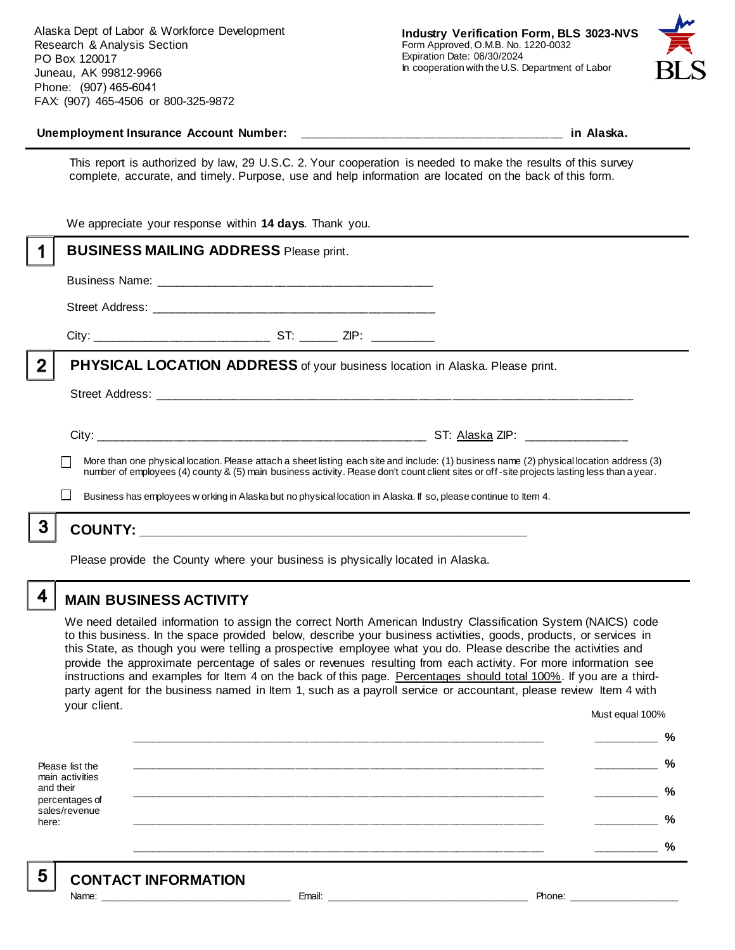Alaska Dept of Labor & Workforce Development Research & Analysis Section PO Box 120017 Juneau, AK 99812-9966 Phone: (907) 465-6041 FAX: (907) 465-4506 or 800-325-9872



#### Unemployment Insurance Account Number: **with a set of the set of the set of the set of the set of the set of the set of the set of the set of the set of the set of the set of the set of the set of the set of the set of the**

This report is authorized by law, 29 U.S.C. 2. Your cooperation is needed to make the results of this survey complete, accurate, and timely. Purpose, use and help information are located on the back of this form.

|   | We appreciate your response within 14 days. Thank you.                                                                                                                                                                                                                                   |                                                                                |  |                                                                                                                 |
|---|------------------------------------------------------------------------------------------------------------------------------------------------------------------------------------------------------------------------------------------------------------------------------------------|--------------------------------------------------------------------------------|--|-----------------------------------------------------------------------------------------------------------------|
|   | <b>BUSINESS MAILING ADDRESS Please print.</b>                                                                                                                                                                                                                                            |                                                                                |  |                                                                                                                 |
|   |                                                                                                                                                                                                                                                                                          |                                                                                |  |                                                                                                                 |
|   |                                                                                                                                                                                                                                                                                          |                                                                                |  |                                                                                                                 |
|   |                                                                                                                                                                                                                                                                                          |                                                                                |  |                                                                                                                 |
| 2 | PHYSICAL LOCATION ADDRESS of your business location in Alaska. Please print.                                                                                                                                                                                                             |                                                                                |  |                                                                                                                 |
|   |                                                                                                                                                                                                                                                                                          |                                                                                |  |                                                                                                                 |
|   |                                                                                                                                                                                                                                                                                          |                                                                                |  |                                                                                                                 |
|   | More than one physical location. Please attach a sheet listing each site and include: (1) business name (2) physical location address (3)<br>number of employees (4) county & (5) main business activity. Please don't count client sites or off-site projects lasting less than a year. |                                                                                |  |                                                                                                                 |
|   |                                                                                                                                                                                                                                                                                          |                                                                                |  | Business has employees w orking in Alaska but no physical location in Alaska. If so, please continue to Item 4. |
|   |                                                                                                                                                                                                                                                                                          |                                                                                |  |                                                                                                                 |
|   |                                                                                                                                                                                                                                                                                          | Please provide the County where your business is physically located in Alaska. |  |                                                                                                                 |

**MAIN BUSINESS ACTIVITY**

We need detailed information to assign the correct North American Industry Classification System (NAICS) code to this business. In the space provided below, describe your business activities, goods, products, or services in this State, as though you were telling a prospective employee what you do. Please describe the activities and provide the approximate percentage of sales or revenues resulting from each activity. For more information see instructions and examples for Item 4 on the back of this page. Percentages should total 100%. If you are a thirdparty agent for the business named in Item 1, such as a payroll service or accountant, please review Item 4 with your client. Must equal 100%

Please list the main activities and their percentages of sales/revenue here: **\_\_\_\_\_\_\_\_\_\_\_\_\_\_\_\_\_\_\_\_\_\_\_\_\_\_\_\_\_\_\_\_\_\_\_\_\_\_\_\_\_\_\_\_\_\_\_\_\_\_\_\_\_\_\_\_\_\_\_\_\_\_ \_\_\_\_\_\_\_\_\_\_ % \_\_\_\_\_\_\_\_\_\_\_\_\_\_\_\_\_\_\_\_\_\_\_\_\_\_\_\_\_\_\_\_\_\_\_\_\_\_\_\_\_\_\_\_\_\_\_\_\_\_\_\_\_\_\_\_\_\_\_\_\_\_ \_\_\_\_\_\_\_\_\_\_ % \_\_\_\_\_\_\_\_\_\_\_\_\_\_\_\_\_\_\_\_\_\_\_\_\_\_\_\_\_\_\_\_\_\_\_\_\_\_\_\_\_\_\_\_\_\_\_\_\_\_\_\_\_\_\_\_\_\_\_\_\_\_ \_\_\_\_\_\_\_\_\_\_ % \_\_\_\_\_\_\_\_\_\_\_\_\_\_\_\_\_\_\_\_\_\_\_\_\_\_\_\_\_\_\_\_\_\_\_\_\_\_\_\_\_\_\_\_\_\_\_\_\_\_\_\_\_\_\_\_\_\_\_\_\_\_ \_\_\_\_\_\_\_\_\_\_ % \_\_\_\_\_\_\_\_\_\_\_\_\_\_\_\_\_\_\_\_\_\_\_\_\_\_\_\_\_\_\_\_\_\_\_\_\_\_\_\_\_\_\_\_\_\_\_\_\_\_\_\_\_\_\_\_\_\_\_\_\_\_ \_\_\_\_\_\_\_\_\_\_ %**

5

4